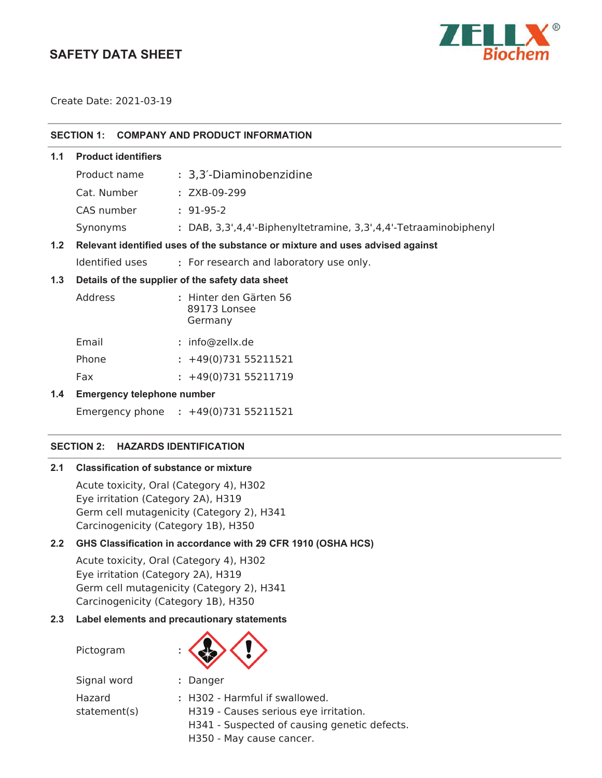## **SAFETY DATA SHEET**



Create Date: 2021-03-19

| SECTION 1: COMPANY AND PRODUCT INFORMATION              |                                   |                                                                               |  |  |
|---------------------------------------------------------|-----------------------------------|-------------------------------------------------------------------------------|--|--|
| 1.1                                                     | <b>Product identifiers</b>        |                                                                               |  |  |
|                                                         | Product name                      | : 3,3'-Diaminobenzidine                                                       |  |  |
|                                                         | Cat. Number                       | : ZXB-09-299                                                                  |  |  |
|                                                         | CAS number                        | $: 91-95-2$                                                                   |  |  |
|                                                         | Synonyms                          | : DAB, 3,3',4,4'-Biphenyltetramine, 3,3',4,4'-Tetraaminobiphenyl              |  |  |
| 1.2                                                     |                                   | Relevant identified uses of the substance or mixture and uses advised against |  |  |
|                                                         | Identified uses                   | : For research and laboratory use only.                                       |  |  |
| 1.3<br>Details of the supplier of the safety data sheet |                                   |                                                                               |  |  |
|                                                         | Address                           | : Hinter den Gärten 56<br>89173 Lonsee<br>Germany                             |  |  |
|                                                         | Email                             | : info@zellx.de                                                               |  |  |
|                                                         | Phone                             | $: +49(0)73155211521$                                                         |  |  |
|                                                         | Fax                               | $: +49(0)73155211719$                                                         |  |  |
| 1.4                                                     | <b>Emergency telephone number</b> |                                                                               |  |  |
|                                                         |                                   | Emergency phone : +49(0)731 55211521                                          |  |  |

## **SECTION 2: HAZARDS IDENTIFICATION**

## **2.1 Classification of substance or mixture**

Acute toxicity, Oral (Category 4), H302 Eye irritation (Category 2A), H319 Germ cell mutagenicity (Category 2), H341 Carcinogenicity (Category 1B), H350

## **2.2 GHS Classification in accordance with 29 CFR 1910 (OSHA HCS)**

Acute toxicity, Oral (Category 4), H302 Eye irritation (Category 2A), H319 Germ cell mutagenicity (Category 2), H341 Carcinogenicity (Category 1B), H350

## **2.3 Label elements and precautionary statements**

Pictogram **:**



| Signal word  | : Danger                              |
|--------------|---------------------------------------|
| Hazard       | : H302 - Harmful if swallowed.        |
| statement(s) | H319 - Causes serious eye irritation. |
|              | H341 - Sucnactad of causing genetic   |

- H341 Suspected of causing genetic defects.
- H350 May cause cancer.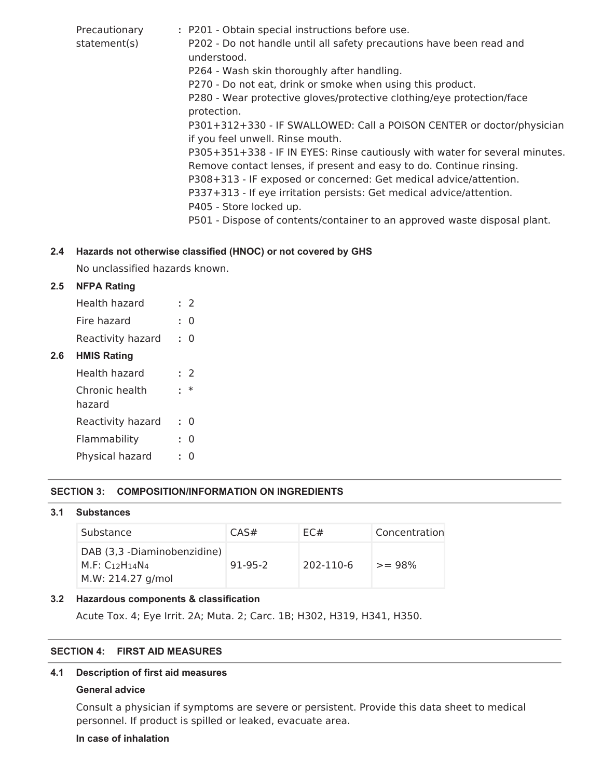| Precautionary<br>statement(s) | : P201 - Obtain special instructions before use.<br>P202 - Do not handle until all safety precautions have been read and<br>understood.<br>P264 - Wash skin thoroughly after handling.<br>P270 - Do not eat, drink or smoke when using this product.<br>P280 - Wear protective gloves/protective clothing/eye protection/face<br>protection.<br>P301+312+330 - IF SWALLOWED: Call a POISON CENTER or doctor/physician<br>if you feel unwell. Rinse mouth.<br>P305+351+338 - IF IN EYES: Rinse cautiously with water for several minutes.<br>Remove contact lenses, if present and easy to do. Continue rinsing. |
|-------------------------------|-----------------------------------------------------------------------------------------------------------------------------------------------------------------------------------------------------------------------------------------------------------------------------------------------------------------------------------------------------------------------------------------------------------------------------------------------------------------------------------------------------------------------------------------------------------------------------------------------------------------|
|                               | P308+313 - IF exposed or concerned: Get medical advice/attention.<br>P337+313 - If eye irritation persists: Get medical advice/attention.<br>P405 - Store locked up.<br>P501 - Dispose of contents/container to an approved waste disposal plant.                                                                                                                                                                                                                                                                                                                                                               |
|                               |                                                                                                                                                                                                                                                                                                                                                                                                                                                                                                                                                                                                                 |

## **2.4 Hazards not otherwise classified (HNOC) or not covered by GHS**

No unclassified hazards known.

## **2.5 NFPA Rating**

| Health hazard     | $\cdot$ 2      |
|-------------------|----------------|
| Fire hazard       | $\cdot$ 0      |
| Reactivity hazard | $\therefore$ 0 |

## **2.6 HMIS Rating**

| Health hazard            | : 2     |
|--------------------------|---------|
| Chronic health<br>hazard | $^\ast$ |
| Reactivity hazard        | 0       |
| Flammability             | O       |
| Physical hazard          | 0       |

## **SECTION 3: COMPOSITION/INFORMATION ON INGREDIENTS**

## **3.1 Substances**

| Substance                                                                  | CAS#      | EC#       | Concentration |
|----------------------------------------------------------------------------|-----------|-----------|---------------|
| DAB (3,3 -Diaminobenzidine)<br>$M.F: C_{12}H_{14}N_4$<br>M.W: 214.27 g/mol | $91-95-2$ | 202-110-6 | $>= 98%$      |

## **3.2 Hazardous components & classification**

Acute Tox. 4; Eye Irrit. 2A; Muta. 2; Carc. 1B; H302, H319, H341, H350.

## **SECTION 4: FIRST AID MEASURES**

## **4.1 Description of first aid measures**

## **General advice**

Consult a physician if symptoms are severe or persistent. Provide this data sheet to medical personnel. If product is spilled or leaked, evacuate area.

## **In case of inhalation**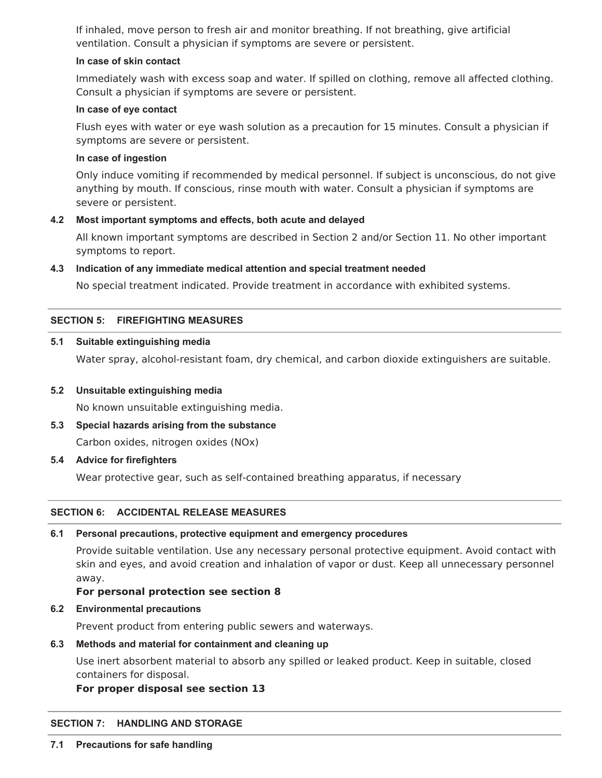If inhaled, move person to fresh air and monitor breathing. If not breathing, give artificial ventilation. Consult a physician if symptoms are severe or persistent.

## **In case of skin contact**

Immediately wash with excess soap and water. If spilled on clothing, remove all affected clothing. Consult a physician if symptoms are severe or persistent.

## **In case of eye contact**

Flush eyes with water or eye wash solution as a precaution for 15 minutes. Consult a physician if symptoms are severe or persistent.

#### **In case of ingestion**

Only induce vomiting if recommended by medical personnel. If subject is unconscious, do not give anything by mouth. If conscious, rinse mouth with water. Consult a physician if symptoms are severe or persistent.

## **4.2 Most important symptoms and effects, both acute and delayed**

All known important symptoms are described in Section 2 and/or Section 11. No other important symptoms to report.

## **4.3 Indication of any immediate medical attention and special treatment needed**

No special treatment indicated. Provide treatment in accordance with exhibited systems.

## **SECTION 5: FIREFIGHTING MEASURES**

#### **5.1 Suitable extinguishing media**

Water spray, alcohol-resistant foam, dry chemical, and carbon dioxide extinguishers are suitable.

#### **5.2 Unsuitable extinguishing media**

No known unsuitable extinguishing media.

**5.3 Special hazards arising from the substance**

Carbon oxides, nitrogen oxides (NOx)

**5.4 Advice for firefighters**

Wear protective gear, such as self-contained breathing apparatus, if necessary

## **SECTION 6: ACCIDENTAL RELEASE MEASURES**

#### **6.1 Personal precautions, protective equipment and emergency procedures**

Provide suitable ventilation. Use any necessary personal protective equipment. Avoid contact with skin and eyes, and avoid creation and inhalation of vapor or dust. Keep all unnecessary personnel away.

## **For personal protection see section 8**

## **6.2 Environmental precautions**

Prevent product from entering public sewers and waterways.

## **6.3 Methods and material for containment and cleaning up**

Use inert absorbent material to absorb any spilled or leaked product. Keep in suitable, closed containers for disposal.

## **For proper disposal see section 13**

## **SECTION 7: HANDLING AND STORAGE**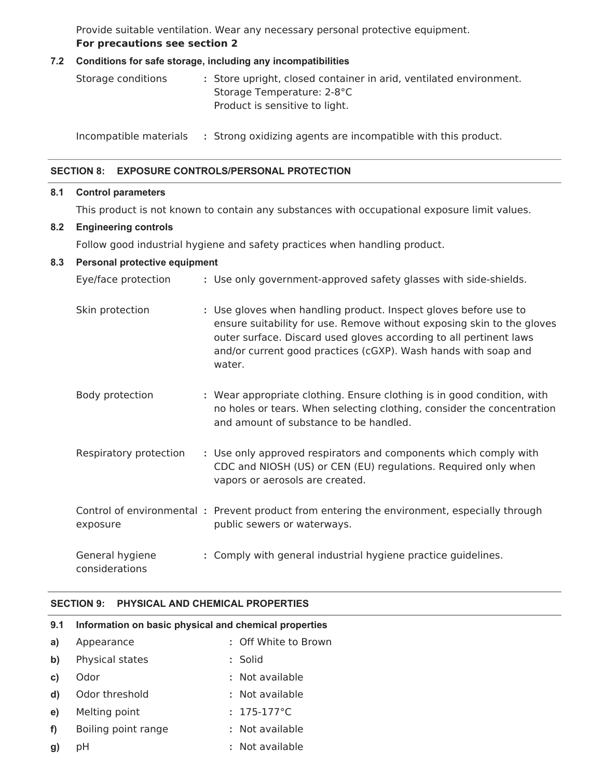Provide suitable ventilation. Wear any necessary personal protective equipment. **For precautions see section 2**

#### **7.2 Conditions for safe storage, including any incompatibilities**

| Storage conditions | : Store upright, closed container in arid, ventilated environment. |
|--------------------|--------------------------------------------------------------------|
|                    | Storage Temperature: 2-8°C                                         |
|                    | Product is sensitive to light.                                     |

Incompatible materials **:** Strong oxidizing agents are incompatible with this product.

#### **SECTION 8: EXPOSURE CONTROLS/PERSONAL PROTECTION**

#### **8.1 Control parameters**

This product is not known to contain any substances with occupational exposure limit values.

#### **8.2 Engineering controls**

Follow good industrial hygiene and safety practices when handling product.

#### **8.3 Personal protective equipment**

| Eye/face protection               | : Use only government-approved safety glasses with side-shields.                                                                                                                                                                                                                             |
|-----------------------------------|----------------------------------------------------------------------------------------------------------------------------------------------------------------------------------------------------------------------------------------------------------------------------------------------|
| Skin protection                   | : Use gloves when handling product. Inspect gloves before use to<br>ensure suitability for use. Remove without exposing skin to the gloves<br>outer surface. Discard used gloves according to all pertinent laws<br>and/or current good practices (cGXP). Wash hands with soap and<br>water. |
| Body protection                   | : Wear appropriate clothing. Ensure clothing is in good condition, with<br>no holes or tears. When selecting clothing, consider the concentration<br>and amount of substance to be handled.                                                                                                  |
| Respiratory protection            | : Use only approved respirators and components which comply with<br>CDC and NIOSH (US) or CEN (EU) regulations. Required only when<br>vapors or aerosols are created.                                                                                                                        |
| exposure                          | Control of environmental: Prevent product from entering the environment, especially through<br>public sewers or waterways.                                                                                                                                                                   |
| General hygiene<br>considerations | : Comply with general industrial hygiene practice guidelines.                                                                                                                                                                                                                                |

## **SECTION 9: PHYSICAL AND CHEMICAL PROPERTIES**

# **9.1 Information on basic physical and chemical properties a)** Appearance **:** Off White to Brown **b)** Physical states **:** Solid **c)** Odor **:** Not available **d)** Odor threshold **:** Not available **e)** Melting point **:** 175-177°C **f)** Boiling point range **:** Not available **g)** pH **:** Not available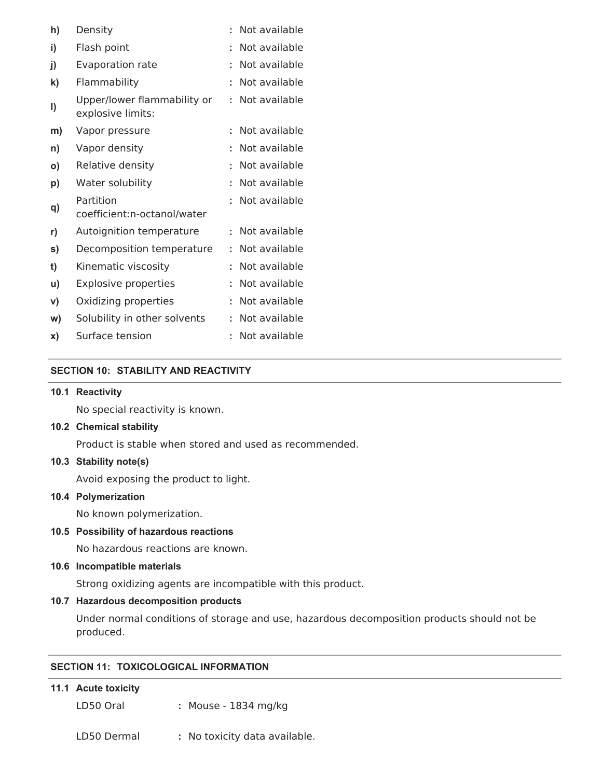| h)           | Density                                          |   | Not available |
|--------------|--------------------------------------------------|---|---------------|
| i)           | Flash point                                      |   | Not available |
| j)           | <b>Evaporation rate</b>                          |   | Not available |
| $\mathbf{k}$ | Flammability                                     |   | Not available |
| I)           | Upper/lower flammability or<br>explosive limits: | t | Not available |
| m)           | Vapor pressure                                   | t | Not available |
| n)           | Vapor density                                    |   | Not available |
| O)           | Relative density                                 |   | Not available |
| p)           | Water solubility                                 |   | Not available |
| q)           | Partition<br>coefficient:n-octanol/water         |   | Not available |
| r)           | Autoignition temperature                         |   | Not available |
| s)           | Decomposition temperature                        |   | Not available |
| t)           | Kinematic viscosity                              |   | Not available |
| u)           | <b>Explosive properties</b>                      | t | Not available |
| V)           | Oxidizing properties                             | t | Not available |
| W)           | Solubility in other solvents                     |   | Not available |
| X)           | Surface tension                                  |   | Not available |

## **SECTION 10: STABILITY AND REACTIVITY**

#### **10.1 Reactivity**

No special reactivity is known.

## **10.2 Chemical stability**

Product is stable when stored and used as recommended.

#### **10.3 Stability note(s)**

Avoid exposing the product to light.

## **10.4 Polymerization**

No known polymerization.

#### **10.5 Possibility of hazardous reactions**

No hazardous reactions are known.

#### **10.6 Incompatible materials**

Strong oxidizing agents are incompatible with this product.

#### **10.7 Hazardous decomposition products**

Under normal conditions of storage and use, hazardous decomposition products should not be produced.

## **SECTION 11: TOXICOLOGICAL INFORMATION**

## **11.1 Acute toxicity**

LD50 Oral **:** Mouse - 1834 mg/kg

LD50 Dermal **:** No toxicity data available.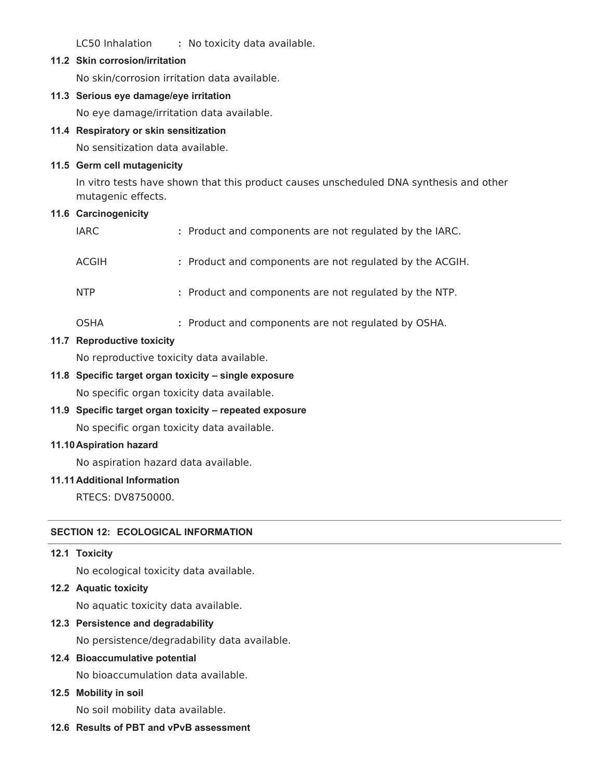LC50 Inhalation **:** No toxicity data available.

#### **11.2 Skin corrosion/irritation**

No skin/corrosion irritation data available.

#### **11.3 Serious eye damage/eye irritation**

No eye damage/irritation data available.

#### **11.4 Respiratory or skin sensitization**

No sensitization data available.

#### **11.5 Germ cell mutagenicity**

In vitro tests have shown that this product causes unscheduled DNA synthesis and other mutagenic effects.

#### **11.6 Carcinogenicity**

| <b>IARC</b> | : Product and components are not regulated by the IARC.  |
|-------------|----------------------------------------------------------|
| ACGIH       | : Product and components are not regulated by the ACGIH. |
| <b>NTP</b>  | : Product and components are not regulated by the NTP.   |
| <b>OSHA</b> | : Product and components are not regulated by OSHA.      |

## **11.7 Reproductive toxicity**

No reproductive toxicity data available.

#### **11.8 Specific target organ toxicity – single exposure**

No specific organ toxicity data available.

**11.9 Specific target organ toxicity – repeated exposure**

No specific organ toxicity data available.

#### **11.10Aspiration hazard**

No aspiration hazard data available.

#### **11.11Additional Information**

RTECS: DV8750000.

## **SECTION 12: ECOLOGICAL INFORMATION**

#### **12.1 Toxicity**

No ecological toxicity data available.

**12.2 Aquatic toxicity**

No aquatic toxicity data available.

## **12.3 Persistence and degradability**

No persistence/degradability data available.

## **12.4 Bioaccumulative potential**

No bioaccumulation data available.

## **12.5 Mobility in soil**

No soil mobility data available.

## **12.6 Results of PBT and vPvB assessment**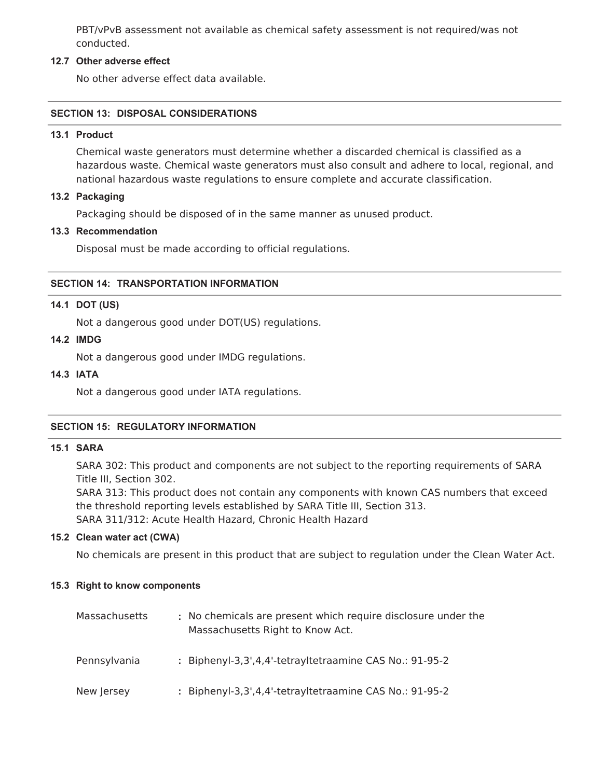PBT/vPvB assessment not available as chemical safety assessment is not required/was not conducted.

## **12.7 Other adverse effect**

No other adverse effect data available.

## **SECTION 13: DISPOSAL CONSIDERATIONS**

#### **13.1 Product**

Chemical waste generators must determine whether a discarded chemical is classified as a hazardous waste. Chemical waste generators must also consult and adhere to local, regional, and national hazardous waste regulations to ensure complete and accurate classification.

#### **13.2 Packaging**

Packaging should be disposed of in the same manner as unused product.

## **13.3 Recommendation**

Disposal must be made according to official regulations.

## **SECTION 14: TRANSPORTATION INFORMATION**

#### **14.1 DOT (US)**

Not a dangerous good under DOT(US) regulations.

#### **14.2 IMDG**

Not a dangerous good under IMDG regulations.

#### **14.3 IATA**

Not a dangerous good under IATA regulations.

## **SECTION 15: REGULATORY INFORMATION**

#### **15.1 SARA**

SARA 302: This product and components are not subject to the reporting requirements of SARA Title III, Section 302.

SARA 313: This product does not contain any components with known CAS numbers that exceed the threshold reporting levels established by SARA Title III, Section 313. SARA 311/312: Acute Health Hazard, Chronic Health Hazard

#### **15.2 Clean water act (CWA)**

No chemicals are present in this product that are subject to regulation under the Clean Water Act.

#### **15.3 Right to know components**

| Massachusetts | : No chemicals are present which require disclosure under the<br>Massachusetts Right to Know Act. |
|---------------|---------------------------------------------------------------------------------------------------|
| Pennsylvania  | : Biphenyl-3,3',4,4'-tetrayltetraamine CAS No.: 91-95-2                                           |
| New Jersey    | : Biphenyl-3,3',4,4'-tetrayltetraamine CAS No.: 91-95-2                                           |